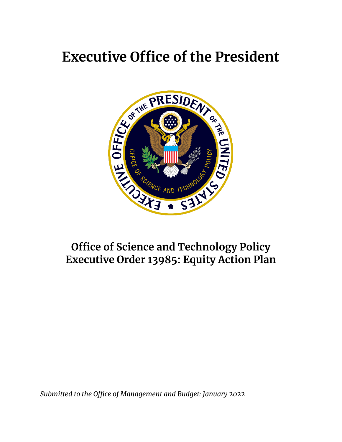

# **Office of Science and Technology Policy Executive Order 13985: Equity Action Plan**

*Submitted to the Office of Management and Budget: January 2022*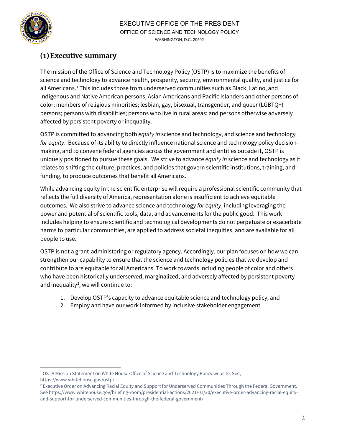

## **(1)Executive summary**

The mission of the Office of Science and Technology Policy (OSTP) is to maximize the benefits of science and technology to advance health, prosperity, security, environmental quality, and justice for all Americans. [1](#page-1-0) This includes those from underserved communities such as Black, Latino, and Indigenous and Native American persons, Asian Americans and Pacific Islanders and other persons of color; members of religious minorities; lesbian, gay, bisexual, transgender, and queer (LGBTQ+) persons; persons with disabilities; persons who live in rural areas; and persons otherwise adversely affected by persistent poverty or inequality.

OSTP is committed to advancing both *equity in* science and technology, and science and technology *for equity*. Because of its ability to directly influence national science and technology policy decisionmaking, and to convene federal agencies across the government and entities outside it, OSTP is uniquely positioned to pursue these goals. We strive to advance *equity in* science and technology as it relates to shifting the culture, practices, and policies that govern scientific institutions, training, and funding, to produce outcomes that benefit all Americans.

While advancing equity in the scientific enterprise will require a professional scientific community that reflects the full diversity of America, representation alone is insufficient to achieve equitable outcomes. We also strive to advance science and technology *for equity*, including leveraging the power and potential of scientific tools, data, and advancements for the public good. This work includes helping to ensure scientific and technological developments do not perpetuate or exacerbate harms to particular communities, are applied to address societal inequities, and are available for all people to use.

OSTP is not a grant-administering or regulatory agency. Accordingly, our plan focuses on how we can strengthen our capability to ensure that the science and technology policies that we develop and contribute to are equitable for all Americans. To work towards including people of color and others who have been historically underserved, marginalized, and adversely affected by persistent poverty and inequality<sup>[2](#page-1-1)</sup>, we will continue to:

- 1. Develop OSTP's capacity to advance equitable science and technology policy; and
- 2. Employ and have our work informed by inclusive stakeholder engagement.

<span id="page-1-0"></span>l <sup>1</sup> OSTP Mission Statement on White House Office of Science and Technology Policy website. See, <https://www.whitehouse.gov/ostp/>

<span id="page-1-1"></span><sup>&</sup>lt;sup>2</sup> Executive Order on Advancing Racial Equity and Support for Underserved Communities Through the Federal Government. See https://www.whitehouse.gov/briefing-room/presidential-actions/2021/01/20/executive-order-advancing-racial-equityand-support-for-underserved-communities-through-the-federal-government/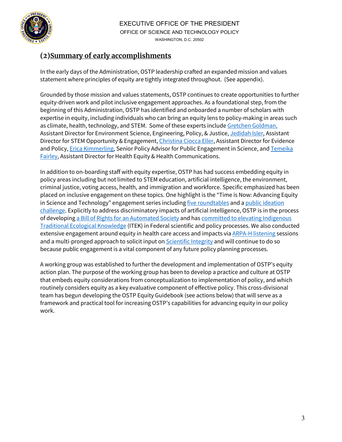

# **(2)Summary of early accomplishments**

In the early days of the Administration, OSTP leadership crafted an expanded mission and values statement where principles of equity are tightly integrated throughout. (See appendix).

Grounded by those mission and values statements, OSTP continues to create opportunities to further equity-driven work and pilot inclusive engagement approaches. As a foundational step, from the beginning of this Administration, OSTP has identified and onboarded a number of scholars with expertise in equity, including individuals who can bring an equity lens to policy-making in areas such as climate, health, technology, and STEM. Some of these experts includ[e Gretchen Goldman,](https://www.linkedin.com/in/gretchengoldman) Assistant Director for Environment Science, Engineering, Policy, & Justice[, Jedidah Isler,](https://jedidahislerphd.com/) Assistant Director for STEM Opportunity & Engagement[, Christina Ciocca Eller,](https://www.linkedin.com/in/christina-ciocca-eller-7b2a2220) Assistant Director for Evidence and Policy[, Erica Kimmerling,](https://www.linkedin.com/in/erica-kimmerling-abba742b) Senior Policy Advisor for Public Engagement in Science, and [Temeika](https://www.linkedin.com/in/temeika-fairley-b6739427)  [Fairley,](https://www.linkedin.com/in/temeika-fairley-b6739427) Assistant Director for Health Equity & Health Communications.

In addition to on-boarding staff with equity expertise, OSTP has had success embedding equity in policy areas including but not limited to STEM education, artificial intelligence, the environment, criminal justice, voting access, health, and immigration and workforce. Specific emphasized has been placed on inclusive engagement on these topics. One highlight is the "Time is Now: Advancing Equity in Science and Technology" engagement series includin[g five roundtables](https://www.whitehouse.gov/ostp/news-updates/2021/10/12/readout-of-the-fifth-roundtable-in-time-is-now-advancing-equity-in-science-and-technology-series-the-covid-19-pandemic-and-overlapping-crises-for-women-and-people-with-gender-expa/) and a public ideation [challenge.](https://www.whitehouse.gov/ostp/news-updates/2021/10/14/the-white-house-office-of-science-and-technology-policy-launches-the-time-is-now-advancing-equity-in-science-and-technology-ideation-challenge/) Explicitly to address discriminatory impacts of artificial intelligence, OSTP is in the process of developing [a Bill of Rights for an Automated Society](https://www.whitehouse.gov/ostp/news-updates/2021/11/10/join-the-effort-to-create-a-bill-of-rights-for-an-automated-society/) and has committed to elevating Indigenous [Traditional Ecological Knowledge](https://www.whitehouse.gov/ostp/news-updates/2021/11/15/white-house-commits-to-elevating-indigenous-knowledge-in-federal-policy-decisions/) (ITEK) in Federal scientific and policy processes. We also conducted extensive engagement around equity in health care access and impacts vi[a ARPA-H listening](https://www.whitehouse.gov/ostp/news-updates/2021/08/17/white-house-and-national-institutes-of-health-close-out-listening-sessions-with-over-5100-stakeholders-on-the-proposed-advanced-research-projects-agency-for-health/) sessions and a multi-pronged approach to solicit input o[n Scientific Integrity](https://www.whitehouse.gov/ostp/news-updates/2021/08/02/white-house-scientific-integrity-task-force-concludes-month-of-robust-public-engagement/) and will continue to do so because public engagement is a vital component of any future policy planning processes.

A working group was established to further the development and implementation of OSTP's equity action plan. The purpose of the working group has been to develop a practice and culture at OSTP that embeds equity considerations from conceptualization to implementation of policy, and which routinely considers equity as a key evaluative component of effective policy. This cross-divisional team has begun developing the OSTP Equity Guidebook (see actions below) that will serve as a framework and practical tool for increasing OSTP's capabilities for advancing equity in our policy work.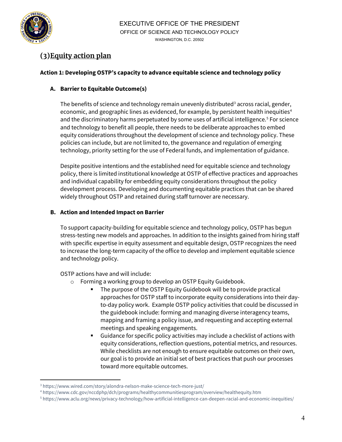

l

# **(3)Equity action plan**

#### **Action 1: Developing OSTP's capacity to advance equitable science and technology policy**

### **A. Barrier to Equitable Outcome(s)**

The benefits of science and technology remain unevenly distributed<sup>[3](#page-3-0)</sup> across racial, gender, economic, and geographic lines as evidenced, for example, by persistent health inequities<sup>4</sup> and the discriminatory harms perpetuated by some uses of artificial intelligence.<sup>[5](#page-3-2)</sup> For science and technology to benefit all people, there needs to be deliberate approaches to embed equity considerations throughout the development of science and technology policy. These policies can include, but are not limited to, the governance and regulation of emerging technology, priority setting for the use of Federal funds, and implementation of guidance.

Despite positive intentions and the established need for equitable science and technology policy, there is limited institutional knowledge at OSTP of effective practices and approaches and individual capability for embedding equity considerations throughout the policy development process. Developing and documenting equitable practices that can be shared widely throughout OSTP and retained during staff turnover are necessary.

#### **B. Action and Intended Impact on Barrier**

To support capacity-building for equitable science and technology policy, OSTP has begun stress-testing new models and approaches. In addition to the insights gained from hiring staff with specific expertise in equity assessment and equitable design, OSTP recognizes the need to increase the long-term capacity of the office to develop and implement equitable science and technology policy.

OSTP actions have and will include:

- o Forming a working group to develop an OSTP Equity Guidebook.
	- The purpose of the OSTP Equity Guidebook will be to provide practical approaches for OSTP staff to incorporate equity considerations into their dayto-day policy work. Example OSTP policy activities that could be discussed in the guidebook include: forming and managing diverse interagency teams, mapping and framing a policy issue, and requesting and accepting external meetings and speaking engagements.
	- Guidance for specific policy activities may include a checklist of actions with equity considerations, reflection questions, potential metrics, and resources. While checklists are not enough to ensure equitable outcomes on their own, our goal is to provide an initial set of best practices that push our processes toward more equitable outcomes.

<span id="page-3-0"></span><sup>3</sup> https://www.wired.com/story/alondra-nelson-make-science-tech-more-just/

<span id="page-3-1"></span><sup>4</sup> https://www.cdc.gov/nccdphp/dch/programs/healthycommunitiesprogram/overview/healthequity.htm

<span id="page-3-2"></span><sup>5</sup> https://www.aclu.org/news/privacy-technology/how-artificial-intelligence-can-deepen-racial-and-economic-inequities/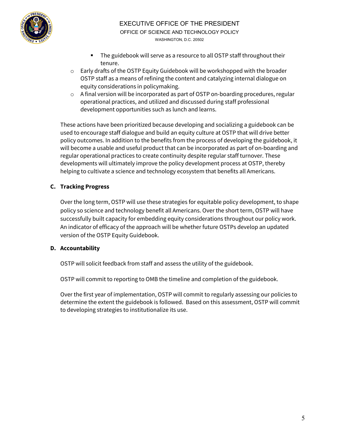

- The guidebook will serve as a resource to all OSTP staff throughout their tenure.
- o Early drafts of the OSTP Equity Guidebook will be workshopped with the broader OSTP staff as a means of refining the content and catalyzing internal dialogue on equity considerations in policymaking.
- $\circ$  A final version will be incorporated as part of OSTP on-boarding procedures, regular operational practices, and utilized and discussed during staff professional development opportunities such as lunch and learns.

These actions have been prioritized because developing and socializing a guidebook can be used to encourage staff dialogue and build an equity culture at OSTP that will drive better policy outcomes. In addition to the benefits from the process of developing the guidebook, it will become a usable and useful product that can be incorporated as part of on-boarding and regular operational practices to create continuity despite regular staff turnover. These developments will ultimately improve the policy development process at OSTP, thereby helping to cultivate a science and technology ecosystem that benefits all Americans.

#### **C. Tracking Progress**

Over the long term, OSTP will use these strategies for equitable policy development, to shape policy so science and technology benefit all Americans. Over the short term, OSTP will have successfully built capacity for embedding equity considerations throughout our policy work. An indicator of efficacy of the approach will be whether future OSTPs develop an updated version of the OSTP Equity Guidebook.

#### **D. Accountability**

OSTP will solicit feedback from staff and assess the utility of the guidebook.

OSTP will commit to reporting to OMB the timeline and completion of the guidebook.

Over the first year of implementation, OSTP will commit to regularly assessing our policies to determine the extent the guidebook is followed. Based on this assessment, OSTP will commit to developing strategies to institutionalize its use.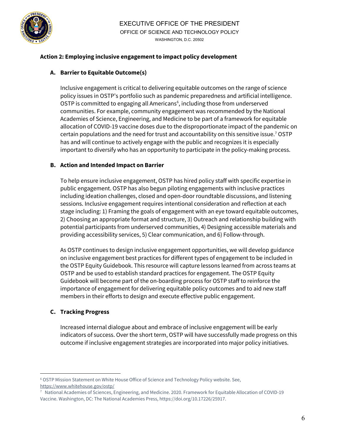

#### **Action 2: Employing inclusive engagement to impact policy development**

#### **A. Barrier to Equitable Outcome(s)**

Inclusive engagement is critical to delivering equitable outcomes on the range of science policy issues in OSTP's portfolio such as pandemic preparedness and artificial intelligence. OSTP is committed to engaging all Americans<sup>[6](#page-5-0)</sup>, including those from underserved communities. For example, community engagement was recommended by the National Academies of Science, Engineering, and Medicine to be part of a framework for equitable allocation of COVID-19 vaccine doses due to the disproportionate impact of the pandemic on certain populations and the need for trust and accountability on this sensitive issue. [7](#page-5-1) OSTP has and will continue to actively engage with the public and recognizes it is especially important to diversify who has an opportunity to participate in the policy-making process.

#### **B. Action and Intended Impact on Barrier**

To help ensure inclusive engagement, OSTP has hired policy staff with specific expertise in public engagement. OSTP has also begun piloting engagements with inclusive practices including ideation challenges, closed and open-door roundtable discussions, and listening sessions. Inclusive engagement requires intentional consideration and reflection at each stage including: 1) Framing the goals of engagement with an eye toward equitable outcomes, 2) Choosing an appropriate format and structure, 3) Outreach and relationship building with potential participants from underserved communities, 4) Designing accessible materials and providing accessibility services, 5) Clear communication, and 6) Follow-through.

As OSTP continues to design inclusive engagement opportunities, we will develop guidance on inclusive engagement best practices for different types of engagement to be included in the OSTP Equity Guidebook. This resource will capture lessons learned from across teams at OSTP and be used to establish standard practices for engagement. The OSTP Equity Guidebook will become part of the on-boarding process for OSTP staff to reinforce the importance of engagement for delivering equitable policy outcomes and to aid new staff members in their efforts to design and execute effective public engagement.

#### **C. Tracking Progress**

l

Increased internal dialogue about and embrace of inclusive engagement will be early indicators of success. Over the short term, OSTP will have successfully made progress on this outcome if inclusive engagement strategies are incorporated into major policy initiatives.

<span id="page-5-0"></span><sup>6</sup> OSTP Mission Statement on White House Office of Science and Technology Policy website. See, <https://www.whitehouse.gov/ostp/>

<span id="page-5-1"></span><sup>7</sup> National Academies of Sciences, Engineering, and Medicine. 2020. Framework for Equitable Allocation of COVID-19 Vaccine. Washington, DC: The National Academies Press, https://doi.org/10.17226/25917.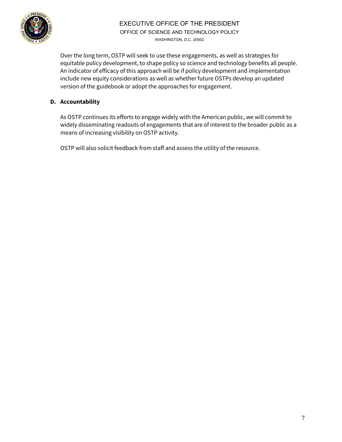

### EXECUTIVE OFFICE OF THE PRESIDENT OFFICE OF SCIENCE AND TECHNOLOGY POLICY WASHINGTON, D.C. 20502

Over the long term, OSTP will seek to use these engagements, as well as strategies for equitable policy development, to shape policy so science and technology benefits all people. An indicator of efficacy of this approach will be if policy development and implementation include new equity considerations as well as whether future OSTPs develop an updated version of the guidebook or adopt the approaches for engagement.

#### **D. Accountability**

As OSTP continues its efforts to engage widely with the American public, we will commit to widely disseminating readouts of engagements that are of interest to the broader public as a means of increasing visibility on OSTP activity.

OSTP will also solicit feedback from staff and assess the utility of the resource.